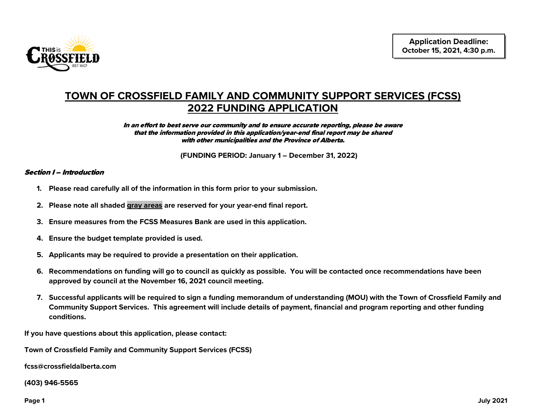

# **TOWN OF CROSSFIELD FAMILY AND COMMUNITY SUPPORT SERVICES (FCSS) 2022 FUNDING APPLICATION**

#### In an effort to best serve our community and to ensure accurate reporting, please be aware that the information provided in this application/year-end final report may be shared with other municipalities and the Province of Alberta.

**(FUNDING PERIOD: January 1 – December 31, 2022)**

### Section I – Introduction

- **1. Please read carefully all of the information in this form prior to your submission.**
- **2. Please note all shaded gray areas are reserved for your year-end final report.**
- **3. Ensure measures from the FCSS Measures Bank are used in this application.**
- **4. Ensure the budget template provided is used.**
- **5. Applicants may be required to provide a presentation on their application.**
- **6. Recommendations on funding will go to council as quickly as possible. You will be contacted once recommendations have been approved by council at the November 16, 2021 council meeting.**
- **7. Successful applicants will be required to sign a funding memorandum of understanding (MOU) with the Town of Crossfield Family and Community Support Services. This agreement will include details of payment, financial and program reporting and other funding conditions.**

**If you have questions about this application, please contact:** 

**Town of Crossfield Family and Community Support Services (FCSS)**

**fcss@crossfieldalberta.com**

**(403) 946-5565**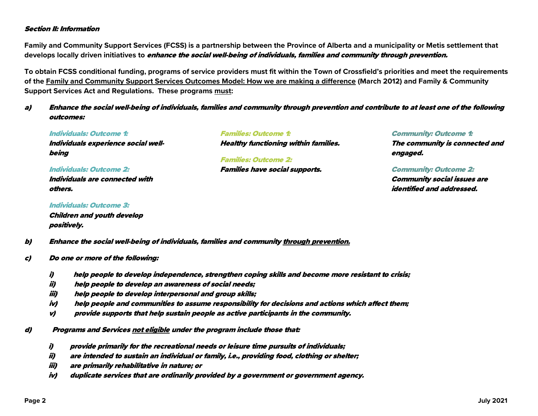### Section II: Information

**Family and Community Support Services (FCSS) is a partnership between the Province of Alberta and a municipality or Metis settlement that develops locally driven initiatives to** enhance the social well-being of individuals, families and community through prevention.

**To obtain FCSS conditional funding, programs of service providers must fit within the Town of Crossfield's priorities and meet the requirements of the Family and Community Support Services Outcomes Model: How we are making a difference (March 2012) and Family & Community Support Services Act and Regulations. These programs must:** 

### a) Enhance the social well-being of individuals, families and community through prevention and contribute to at least one of the following outcomes:

Individuals: Outcome 1: Individuals experience social wellbeing

Individuals: Outcome 2: Individuals are connected with others.

Individuals: Outcome 3: Children and youth develop positively.

Families: Outcome 1: Healthy functioning within families. Families: Outcome 2:

Families have social supports.

Community: Outcome 1: The community is connected and engaged.

Community: Outcome 2: Community social issues are identified and addressed.

b) Enhance the social well-being of individuals, families and community through prevention.

- c) Do one or more of the following:
	- i) help people to develop independence, strengthen coping skills and become more resistant to crisis;
	- ii) help people to develop an awareness of social needs;
	- iii) help people to develop interpersonal and group skills;
	- iv) help people and communities to assume responsibility for decisions and actions which affect them;
	- v) provide supports that help sustain people as active participants in the community.
- d) Programs and Services not eligible under the program include those that:
	- i) provide primarily for the recreational needs or leisure time pursuits of individuals;
	- ii) are intended to sustain an individual or family, i.e., providing food, clothing or shelter;
	- iii) are primarily rehabilitative in nature; or
	- iv) duplicate services that are ordinarily provided by a government or government agency.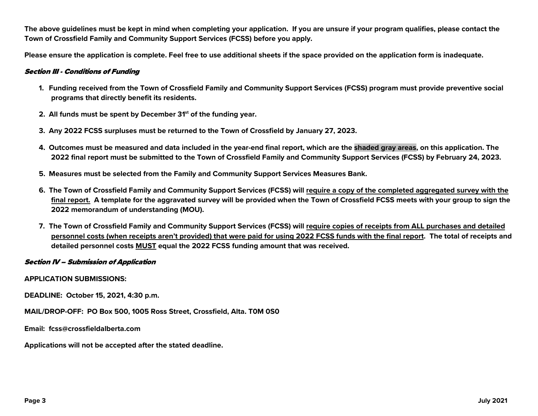**The above guidelines must be kept in mind when completing your application. If you are unsure if your program qualifies, please contact the Town of Crossfield Family and Community Support Services (FCSS) before you apply.**

**Please ensure the application is complete. Feel free to use additional sheets if the space provided on the application form is inadequate.**

### Section III - Conditions of Funding

- **1. Funding received from the Town of Crossfield Family and Community Support Services (FCSS) program must provide preventive social programs that directly benefit its residents.**
- **2. All funds must be spent by December 31st of the funding year.**
- **3. Any 2022 FCSS surpluses must be returned to the Town of Crossfield by January 27, 2023.**
- **4. Outcomes must be measured and data included in the year-end final report, which are the shaded gray areas, on this application. The 2022 final report must be submitted to the Town of Crossfield Family and Community Support Services (FCSS) by February 24, 2023.**
- **5. Measures must be selected from the Family and Community Support Services Measures Bank.**
- **6. The Town of Crossfield Family and Community Support Services (FCSS) will require a copy of the completed aggregated survey with the final report. A template for the aggravated survey will be provided when the Town of Crossfield FCSS meets with your group to sign the 2022 memorandum of understanding (MOU).**
- **7. The Town of Crossfield Family and Community Support Services (FCSS) will require copies of receipts from ALL purchases and detailed personnel costs (when receipts aren't provided) that were paid for using 2022 FCSS funds with the final report. The total of receipts and detailed personnel costs MUST equal the 2022 FCSS funding amount that was received.**

### Section IV – Submission of Application

### **APPLICATION SUBMISSIONS:**

**DEADLINE: October 15, 2021, 4:30 p.m.**

**MAIL/DROP-OFF: PO Box 500, 1005 Ross Street, Crossfield, Alta. T0M 0S0**

**Email: fcss@crossfieldalberta.com**

**Applications will not be accepted after the stated deadline.**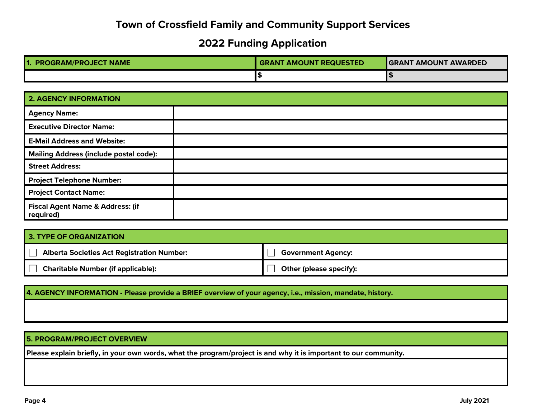## **Town of Crossfield Family and Community Support Services**

# **2022 Funding Application**

| <b>PROGRAM/PROJECT NAME</b> | <b>GRANT AMOUNT REQUESTED</b> | <b>GRANT AMOUNT AWARDED</b> |  |
|-----------------------------|-------------------------------|-----------------------------|--|
|                             |                               |                             |  |

| <b>2. AGENCY INFORMATION</b>                             |  |
|----------------------------------------------------------|--|
| <b>Agency Name:</b>                                      |  |
| <b>Executive Director Name:</b>                          |  |
| <b>E-Mail Address and Website:</b>                       |  |
| <b>Mailing Address (include postal code):</b>            |  |
| <b>Street Address:</b>                                   |  |
| <b>Project Telephone Number:</b>                         |  |
| <b>Project Contact Name:</b>                             |  |
| <b>Fiscal Agent Name &amp; Address: (if</b><br>required) |  |

## **3. TYPE OF ORGANIZATION**

| <b>Alberta Societies Act Registration Number:</b> | <b>Government Agency:</b> |
|---------------------------------------------------|---------------------------|
| <b>Charitable Number (if applicable):</b>         | Other (please specify):   |

## **4. AGENCY INFORMATION - Please provide a BRIEF overview of your agency, i.e., mission, mandate, history.**

### **5. PROGRAM/PROJECT OVERVIEW**

**Please explain briefly, in your own words, what the program/project is and why it is important to our community.**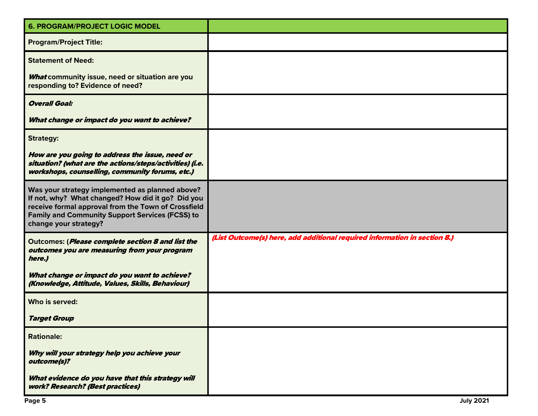| <b>6. PROGRAM/PROJECT LOGIC MODEL</b>                                                                                                                                                                                                          |                                                                           |
|------------------------------------------------------------------------------------------------------------------------------------------------------------------------------------------------------------------------------------------------|---------------------------------------------------------------------------|
| <b>Program/Project Title:</b>                                                                                                                                                                                                                  |                                                                           |
| <b>Statement of Need:</b>                                                                                                                                                                                                                      |                                                                           |
| <b>What community issue, need or situation are you</b><br>responding to? Evidence of need?                                                                                                                                                     |                                                                           |
| <b>Overall Goal:</b>                                                                                                                                                                                                                           |                                                                           |
| What change or impact do you want to achieve?                                                                                                                                                                                                  |                                                                           |
| <b>Strategy:</b>                                                                                                                                                                                                                               |                                                                           |
| How are you going to address the issue, need or<br>situation? (what are the actions/steps/activities) (i.e.<br>workshops, counselling, community forums, etc.)                                                                                 |                                                                           |
| Was your strategy implemented as planned above?<br>If not, why? What changed? How did it go? Did you<br>receive formal approval from the Town of Crossfield<br><b>Family and Community Support Services (FCSS) to</b><br>change your strategy? |                                                                           |
| Outcomes: (Please complete section 8 and list the<br>outcomes you are measuring from your program<br>here.)                                                                                                                                    | (List Outcome(s) here, add additional required information in section 8.) |
| What change or impact do you want to achieve?<br>(Knowledge, Attitude, Values, Skills, Behaviour)                                                                                                                                              |                                                                           |
| Who is served:                                                                                                                                                                                                                                 |                                                                           |
| <b>Target Group</b>                                                                                                                                                                                                                            |                                                                           |
| <b>Rationale:</b>                                                                                                                                                                                                                              |                                                                           |
| Why will your strategy help you achieve your<br>outcome(s)?                                                                                                                                                                                    |                                                                           |
| What evidence do you have that this strategy will<br>work? Research? (Best practices)                                                                                                                                                          |                                                                           |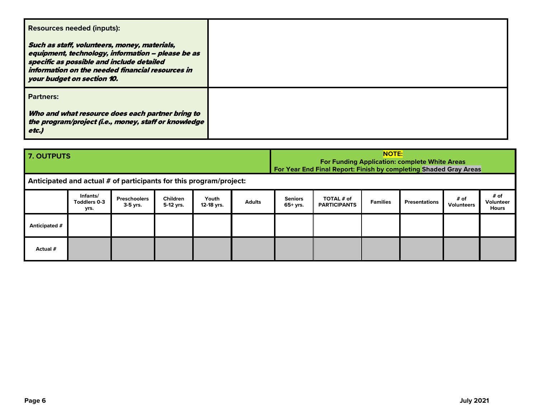| <b>Resources needed (inputs):</b><br>Such as staff, volunteers, money, materials,<br>equipment, technology, information - please be as |  |
|----------------------------------------------------------------------------------------------------------------------------------------|--|
| specific as possible and include detailed<br>information on the needed financial resources in<br>your budget on section 10.            |  |
| <b>Partners:</b>                                                                                                                       |  |
| Who and what resource does each partner bring to<br>the program/project (i.e., money, staff or knowledge<br>etc.)                      |  |

| 7. OUTPUTS                                                         |                                  |                                   |                              | <b>NOTE:</b><br><b>For Funding Application: complete White Areas</b><br>For Year End Final Report: Finish by completing Shaded Gray Areas |               |                              |                                   |                 |                      |                           |                                   |
|--------------------------------------------------------------------|----------------------------------|-----------------------------------|------------------------------|-------------------------------------------------------------------------------------------------------------------------------------------|---------------|------------------------------|-----------------------------------|-----------------|----------------------|---------------------------|-----------------------------------|
| Anticipated and actual # of participants for this program/project: |                                  |                                   |                              |                                                                                                                                           |               |                              |                                   |                 |                      |                           |                                   |
|                                                                    | Infants/<br>Toddlers 0-3<br>yrs. | <b>Preschoolers</b><br>$3-5$ yrs. | <b>Children</b><br>5-12 yrs. | Youth<br>12-18 yrs.                                                                                                                       | <b>Adults</b> | <b>Seniors</b><br>$65+$ yrs. | TOTAL # of<br><b>PARTICIPANTS</b> | <b>Families</b> | <b>Presentations</b> | # of<br><b>Volunteers</b> | # of<br><b>Volunteer</b><br>Hours |
| Anticipated #                                                      |                                  |                                   |                              |                                                                                                                                           |               |                              |                                   |                 |                      |                           |                                   |
| Actual #                                                           |                                  |                                   |                              |                                                                                                                                           |               |                              |                                   |                 |                      |                           |                                   |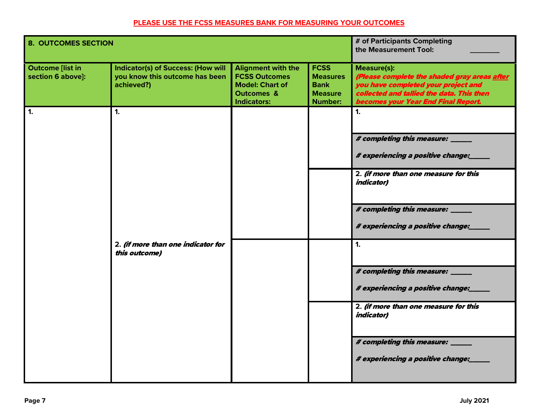## **PLEASE USE THE FCSS MEASURES BANK FOR MEASURING YOUR OUTCOMES**

| <b>8. OUTCOMES SECTION</b>                   |                                                                                           |                                                                                                                            |                                                                                   | # of Participants Completing<br>the Measurement Tool:                                                                                                                                         |
|----------------------------------------------|-------------------------------------------------------------------------------------------|----------------------------------------------------------------------------------------------------------------------------|-----------------------------------------------------------------------------------|-----------------------------------------------------------------------------------------------------------------------------------------------------------------------------------------------|
| <b>Outcome [list in</b><br>section 6 above]: | <b>Indicator(s) of Success: (How will</b><br>you know this outcome has been<br>achieved?) | <b>Alignment with the</b><br><b>FCSS Outcomes</b><br><b>Model: Chart of</b><br><b>Outcomes &amp;</b><br><b>Indicators:</b> | <b>FCSS</b><br><b>Measures</b><br><b>Bank</b><br><b>Measure</b><br><b>Number:</b> | <b>Measure(s):</b><br>(Please complete the shaded gray areas after<br>you have completed your project and<br>collected and tallied the data. This then<br>becomes your Year End Final Report. |
| 1.                                           | $\mathbf{1}$ .                                                                            |                                                                                                                            |                                                                                   | $\mathbf{1}$                                                                                                                                                                                  |
|                                              |                                                                                           |                                                                                                                            |                                                                                   | # completing this measure: _____<br># experiencing a positive change:                                                                                                                         |
|                                              |                                                                                           |                                                                                                                            |                                                                                   | 2. (if more than one measure for this<br><i>indicator)</i>                                                                                                                                    |
|                                              |                                                                                           |                                                                                                                            |                                                                                   | # completing this measure: _____<br># experiencing a positive change:                                                                                                                         |
|                                              | 2. (if more than one indicator for<br>this outcome)                                       |                                                                                                                            |                                                                                   | 1.                                                                                                                                                                                            |
|                                              |                                                                                           |                                                                                                                            |                                                                                   | # completing this measure: _____<br># experiencing a positive change:                                                                                                                         |
|                                              |                                                                                           |                                                                                                                            |                                                                                   | 2. (if more than one measure for this<br><i>indicator)</i>                                                                                                                                    |
|                                              |                                                                                           |                                                                                                                            |                                                                                   | # completing this measure: _____<br># experiencing a positive change:                                                                                                                         |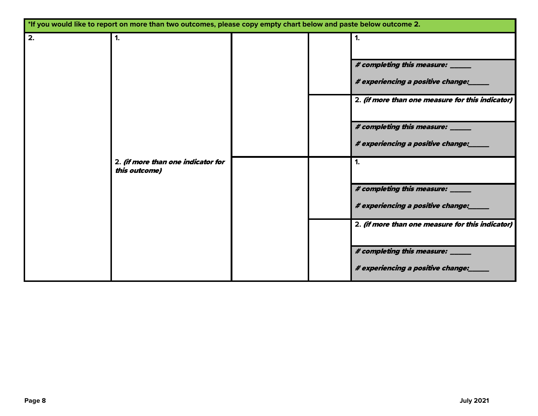|    | *If you would like to report on more than two outcomes, please copy empty chart below and paste below outcome 2. |  |                                                                       |
|----|------------------------------------------------------------------------------------------------------------------|--|-----------------------------------------------------------------------|
| 2. | 1.                                                                                                               |  | 1.                                                                    |
|    |                                                                                                                  |  | # completing this measure: _____<br># experiencing a positive change: |
|    |                                                                                                                  |  | 2. (if more than one measure for this indicator)                      |
|    |                                                                                                                  |  | # completing this measure: _____<br># experiencing a positive change: |
|    | 2. (if more than one indicator for<br>this outcome)                                                              |  | 1.                                                                    |
|    |                                                                                                                  |  | # completing this measure: ___<br># experiencing a positive change:   |
|    |                                                                                                                  |  | 2. (if more than one measure for this indicator)                      |
|    |                                                                                                                  |  | # completing this measure: _____<br># experiencing a positive change: |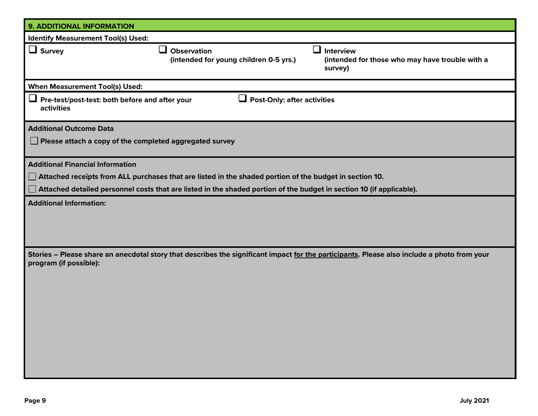| <b>9. ADDITIONAL INFORMATION</b>                                                                                                                                      |
|-----------------------------------------------------------------------------------------------------------------------------------------------------------------------|
| <b>Identify Measurement Tool(s) Used:</b>                                                                                                                             |
| $\Box$ Survey<br>ப<br><b>Interview</b><br><b>Observation</b><br>(intended for young children 0-5 yrs.)<br>(intended for those who may have trouble with a<br>survey)  |
| <b>When Measurement Tool(s) Used:</b>                                                                                                                                 |
| Pre-test/post-test: both before and after your<br><b>Post-Only: after activities</b><br>u<br>activities                                                               |
| <b>Additional Outcome Data</b>                                                                                                                                        |
| Please attach a copy of the completed aggregated survey                                                                                                               |
| <b>Additional Financial Information</b>                                                                                                                               |
| $\Box$ Attached receipts from ALL purchases that are listed in the shaded portion of the budget in section 10.                                                        |
| Attached detailed personnel costs that are listed in the shaded portion of the budget in section 10 (if applicable).                                                  |
| <b>Additional Information:</b>                                                                                                                                        |
| Stories – Please share an anecdotal story that describes the significant impact for the participants. Please also include a photo from your<br>program (if possible): |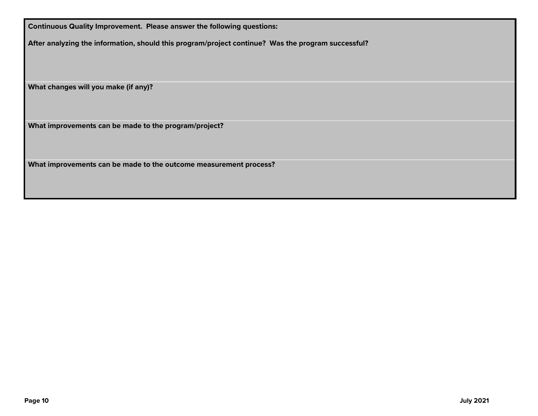**Continuous Quality Improvement. Please answer the following questions:**

**After analyzing the information, should this program/project continue? Was the program successful?**

**What changes will you make (if any)?**

**What improvements can be made to the program/project?**

**What improvements can be made to the outcome measurement process?**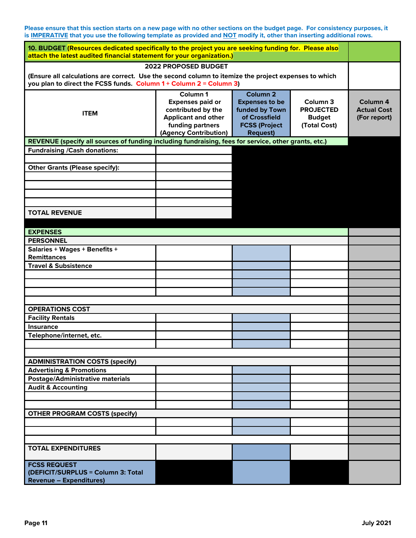**Please ensure that this section starts on a new page with no other sections on the budget page. For consistency purposes, it is IMPERATIVE that you use the following template as provided and NOT modify it, other than inserting additional rows.** 

| 10. BUDGET (Resources dedicated specifically to the project you are seeking funding for. Please also<br>attach the latest audited financial statement for your organization.) |                                                                                                                                      |                                                                                                                            |                                                                          |                                                           |  |  |  |
|-------------------------------------------------------------------------------------------------------------------------------------------------------------------------------|--------------------------------------------------------------------------------------------------------------------------------------|----------------------------------------------------------------------------------------------------------------------------|--------------------------------------------------------------------------|-----------------------------------------------------------|--|--|--|
|                                                                                                                                                                               | 2022 PROPOSED BUDGET                                                                                                                 |                                                                                                                            |                                                                          |                                                           |  |  |  |
| (Ensure all calculations are correct. Use the second column to itemize the project expenses to which<br>you plan to direct the FCSS funds. Column $1+$ Column $2 =$ Column 3) |                                                                                                                                      |                                                                                                                            |                                                                          |                                                           |  |  |  |
| <b>ITEM</b>                                                                                                                                                                   | Column 1<br><b>Expenses paid or</b><br>contributed by the<br><b>Applicant and other</b><br>funding partners<br>(Agency Contribution) | Column <sub>2</sub><br><b>Expenses to be</b><br>funded by Town<br>of Crossfield<br><b>FCSS (Project</b><br><b>Request)</b> | Column <sub>3</sub><br><b>PROJECTED</b><br><b>Budget</b><br>(Total Cost) | Column <sub>4</sub><br><b>Actual Cost</b><br>(For report) |  |  |  |
| REVENUE (specify all sources of funding including fundraising, fees for service, other grants, etc.)                                                                          |                                                                                                                                      |                                                                                                                            |                                                                          |                                                           |  |  |  |
| <b>Fundraising /Cash donations:</b>                                                                                                                                           |                                                                                                                                      |                                                                                                                            |                                                                          |                                                           |  |  |  |
|                                                                                                                                                                               |                                                                                                                                      |                                                                                                                            |                                                                          |                                                           |  |  |  |
| <b>Other Grants (Please specify):</b>                                                                                                                                         |                                                                                                                                      |                                                                                                                            |                                                                          |                                                           |  |  |  |
|                                                                                                                                                                               |                                                                                                                                      |                                                                                                                            |                                                                          |                                                           |  |  |  |
|                                                                                                                                                                               |                                                                                                                                      |                                                                                                                            |                                                                          |                                                           |  |  |  |
|                                                                                                                                                                               |                                                                                                                                      |                                                                                                                            |                                                                          |                                                           |  |  |  |
|                                                                                                                                                                               |                                                                                                                                      |                                                                                                                            |                                                                          |                                                           |  |  |  |
| <b>TOTAL REVENUE</b>                                                                                                                                                          |                                                                                                                                      |                                                                                                                            |                                                                          |                                                           |  |  |  |
|                                                                                                                                                                               |                                                                                                                                      |                                                                                                                            |                                                                          |                                                           |  |  |  |
| <b>EXPENSES</b>                                                                                                                                                               |                                                                                                                                      |                                                                                                                            |                                                                          |                                                           |  |  |  |
| <b>PERSONNEL</b>                                                                                                                                                              |                                                                                                                                      |                                                                                                                            |                                                                          |                                                           |  |  |  |
| Salaries + Wages + Benefits +                                                                                                                                                 |                                                                                                                                      |                                                                                                                            |                                                                          |                                                           |  |  |  |
| <b>Remittances</b>                                                                                                                                                            |                                                                                                                                      |                                                                                                                            |                                                                          |                                                           |  |  |  |
| <b>Travel &amp; Subsistence</b>                                                                                                                                               |                                                                                                                                      |                                                                                                                            |                                                                          |                                                           |  |  |  |
|                                                                                                                                                                               |                                                                                                                                      |                                                                                                                            |                                                                          |                                                           |  |  |  |
|                                                                                                                                                                               |                                                                                                                                      |                                                                                                                            |                                                                          |                                                           |  |  |  |
|                                                                                                                                                                               |                                                                                                                                      |                                                                                                                            |                                                                          |                                                           |  |  |  |
|                                                                                                                                                                               |                                                                                                                                      |                                                                                                                            |                                                                          |                                                           |  |  |  |
| <b>OPERATIONS COST</b>                                                                                                                                                        |                                                                                                                                      |                                                                                                                            |                                                                          |                                                           |  |  |  |
| <b>Facility Rentals</b>                                                                                                                                                       |                                                                                                                                      |                                                                                                                            |                                                                          |                                                           |  |  |  |
| <b>Insurance</b>                                                                                                                                                              |                                                                                                                                      |                                                                                                                            |                                                                          |                                                           |  |  |  |
| Telephone/internet, etc.                                                                                                                                                      |                                                                                                                                      |                                                                                                                            |                                                                          |                                                           |  |  |  |
|                                                                                                                                                                               |                                                                                                                                      |                                                                                                                            |                                                                          |                                                           |  |  |  |
|                                                                                                                                                                               |                                                                                                                                      |                                                                                                                            |                                                                          |                                                           |  |  |  |
| <b>ADMINISTRATION COSTS (specify)</b>                                                                                                                                         |                                                                                                                                      |                                                                                                                            |                                                                          |                                                           |  |  |  |
| <b>Advertising &amp; Promotions</b>                                                                                                                                           |                                                                                                                                      |                                                                                                                            |                                                                          |                                                           |  |  |  |
| <b>Postage/Administrative materials</b>                                                                                                                                       |                                                                                                                                      |                                                                                                                            |                                                                          |                                                           |  |  |  |
| <b>Audit &amp; Accounting</b>                                                                                                                                                 |                                                                                                                                      |                                                                                                                            |                                                                          |                                                           |  |  |  |
|                                                                                                                                                                               |                                                                                                                                      |                                                                                                                            |                                                                          |                                                           |  |  |  |
|                                                                                                                                                                               |                                                                                                                                      |                                                                                                                            |                                                                          |                                                           |  |  |  |
| <b>OTHER PROGRAM COSTS (specify)</b>                                                                                                                                          |                                                                                                                                      |                                                                                                                            |                                                                          |                                                           |  |  |  |
|                                                                                                                                                                               |                                                                                                                                      |                                                                                                                            |                                                                          |                                                           |  |  |  |
|                                                                                                                                                                               |                                                                                                                                      |                                                                                                                            |                                                                          |                                                           |  |  |  |
|                                                                                                                                                                               |                                                                                                                                      |                                                                                                                            |                                                                          |                                                           |  |  |  |
| <b>TOTAL EXPENDITURES</b>                                                                                                                                                     |                                                                                                                                      |                                                                                                                            |                                                                          |                                                           |  |  |  |
| <b>FCSS REQUEST</b>                                                                                                                                                           |                                                                                                                                      |                                                                                                                            |                                                                          |                                                           |  |  |  |
| (DEFICIT/SURPLUS = Column 3: Total                                                                                                                                            |                                                                                                                                      |                                                                                                                            |                                                                          |                                                           |  |  |  |
| <b>Revenue - Expenditures)</b>                                                                                                                                                |                                                                                                                                      |                                                                                                                            |                                                                          |                                                           |  |  |  |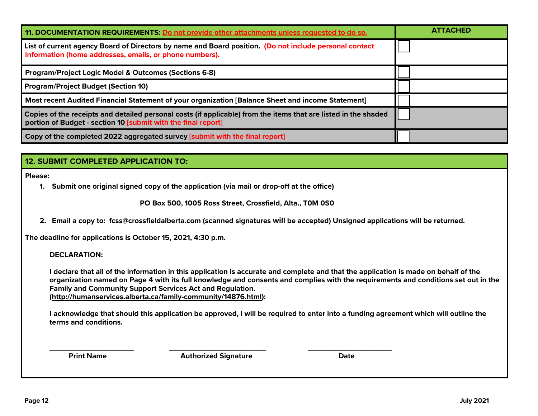| 11. DOCUMENTATION REQUIREMENTS: Do not provide other attachments unless requested to do so.                                                                                      | <b>ATTACHED</b> |
|----------------------------------------------------------------------------------------------------------------------------------------------------------------------------------|-----------------|
| List of current agency Board of Directors by name and Board position. (Do not include personal contact<br>information (home addresses, emails, or phone numbers).                |                 |
| <b>Program/Project Logic Model &amp; Outcomes (Sections 6-8)</b>                                                                                                                 |                 |
| <b>Program/Project Budget (Section 10)</b>                                                                                                                                       |                 |
| Most recent Audited Financial Statement of your organization [Balance Sheet and income Statement]                                                                                |                 |
| Copies of the receipts and detailed personal costs (if applicable) from the items that are listed in the shaded<br>portion of Budget - section 10 [submit with the final report] |                 |
| Copy of the completed 2022 aggregated survey [submit with the final report]                                                                                                      |                 |
|                                                                                                                                                                                  |                 |
| <b>12. SUBMIT COMPLETED APPLICATION TO:</b>                                                                                                                                      |                 |

**Please:** 

**1. Submit one original signed copy of the application (via mail or drop-off at the office)**

 **PO Box 500, 1005 Ross Street, Crossfield, Alta., T0M 0S0**

**2. Email a copy to: fcss@crossfieldalberta.com (scanned signatures will be accepted) Unsigned applications will be returned.**

**The deadline for applications is October 15, 2021, 4:30 p.m.**

**DECLARATION:**

**I declare that all of the information in this application is accurate and complete and that the application is made on behalf of the organization named on Page 4 with its full knowledge and consents and complies with the requirements and conditions set out in the Family and Community Support Services Act and Regulation. [\(http://humanservices.alberta.ca/family-community/14876.html\)](http://humanservices.alberta.ca/family-community/14876.html):** 

**I acknowledge that should this application be approved, I will be required to enter into a funding agreement which will outline the terms and conditions.**

**\_\_\_\_\_\_\_\_\_\_\_\_\_\_\_\_\_\_\_\_ \_\_\_\_\_\_\_\_\_\_\_\_\_\_\_\_\_\_\_\_\_\_\_ \_\_\_\_\_\_\_\_\_\_\_\_\_\_\_\_\_\_\_\_ Print Name Community Community Authorized Signature Community Community Community Community Community Community**